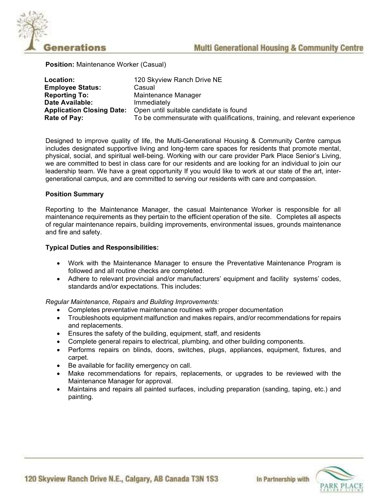

Position: Maintenance Worker (Casual)

| Location:                        | 120 Skyview Ranch Drive NE                                                |
|----------------------------------|---------------------------------------------------------------------------|
| <b>Employee Status:</b>          | Casual                                                                    |
| <b>Reporting To:</b>             | Maintenance Manager                                                       |
| Date Available:                  | Immediately                                                               |
| <b>Application Closing Date:</b> | Open until suitable candidate is found                                    |
| Rate of Pay:                     | To be commensurate with qualifications, training, and relevant experience |

Designed to improve quality of life, the Multi-Generational Housing & Community Centre campus includes designated supportive living and long-term care spaces for residents that promote mental, physical, social, and spiritual well-being. Working with our care provider Park Place Senior's Living, we are committed to best in class care for our residents and are looking for an individual to join our leadership team. We have a great opportunity If you would like to work at our state of the art, intergenerational campus, and are committed to serving our residents with care and compassion.

#### Position Summary

Reporting to the Maintenance Manager, the casual Maintenance Worker is responsible for all maintenance requirements as they pertain to the efficient operation of the site. Completes all aspects of regular maintenance repairs, building improvements, environmental issues, grounds maintenance and fire and safety.

#### Typical Duties and Responsibilities:

- Work with the Maintenance Manager to ensure the Preventative Maintenance Program is followed and all routine checks are completed.
- Adhere to relevant provincial and/or manufacturers' equipment and facility systems' codes, standards and/or expectations. This includes:

Regular Maintenance, Repairs and Building Improvements:

- Completes preventative maintenance routines with proper documentation
- Troubleshoots equipment malfunction and makes repairs, and/or recommendations for repairs and replacements.
- Ensures the safety of the building, equipment, staff, and residents
- Complete general repairs to electrical, plumbing, and other building components.
- Performs repairs on blinds, doors, switches, plugs, appliances, equipment, fixtures, and carpet.
- Be available for facility emergency on call.
- Make recommendations for repairs, replacements, or upgrades to be reviewed with the Maintenance Manager for approval.
- Maintains and repairs all painted surfaces, including preparation (sanding, taping, etc.) and painting.



120 Skyview Ranch Drive N.E., Calgary, AB Canada T3N 1S3

In Partnership with